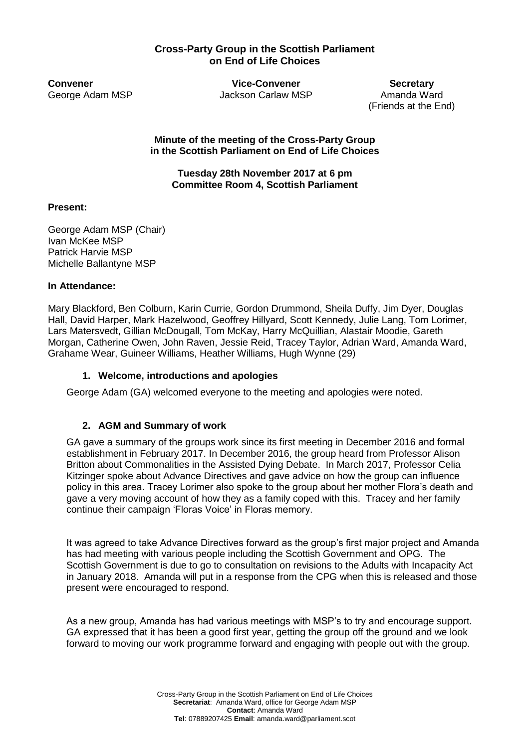### **Cross-Party Group in the Scottish Parliament on End of Life Choices**

**Convener Convener Convener Secretary** George Adam MSP **Jackson Carlaw MSP** Amanda Ward

(Friends at the End)

**Minute of the meeting of the Cross-Party Group in the Scottish Parliament on End of Life Choices**

**Tuesday 28th November 2017 at 6 pm Committee Room 4, Scottish Parliament** 

### **Present:**

George Adam MSP (Chair) Ivan McKee MSP Patrick Harvie MSP Michelle Ballantyne MSP

### **In Attendance:**

Mary Blackford, Ben Colburn, Karin Currie, Gordon Drummond, Sheila Duffy, Jim Dyer, Douglas Hall, David Harper, Mark Hazelwood, Geoffrey Hillyard, Scott Kennedy, Julie Lang, Tom Lorimer, Lars Matersvedt, Gillian McDougall, Tom McKay, Harry McQuillian, Alastair Moodie, Gareth Morgan, Catherine Owen, John Raven, Jessie Reid, Tracey Taylor, Adrian Ward, Amanda Ward, Grahame Wear, Guineer Williams, Heather Williams, Hugh Wynne (29)

### **1. Welcome, introductions and apologies**

George Adam (GA) welcomed everyone to the meeting and apologies were noted.

## **2. AGM and Summary of work**

GA gave a summary of the groups work since its first meeting in December 2016 and formal establishment in February 2017. In December 2016, the group heard from Professor Alison Britton about Commonalities in the Assisted Dying Debate. In March 2017, Professor Celia Kitzinger spoke about Advance Directives and gave advice on how the group can influence policy in this area. Tracey Lorimer also spoke to the group about her mother Flora's death and gave a very moving account of how they as a family coped with this. Tracey and her family continue their campaign 'Floras Voice' in Floras memory.

It was agreed to take Advance Directives forward as the group's first major project and Amanda has had meeting with various people including the Scottish Government and OPG. The Scottish Government is due to go to consultation on revisions to the Adults with Incapacity Act in January 2018. Amanda will put in a response from the CPG when this is released and those present were encouraged to respond.

As a new group, Amanda has had various meetings with MSP's to try and encourage support. GA expressed that it has been a good first year, getting the group off the ground and we look forward to moving our work programme forward and engaging with people out with the group.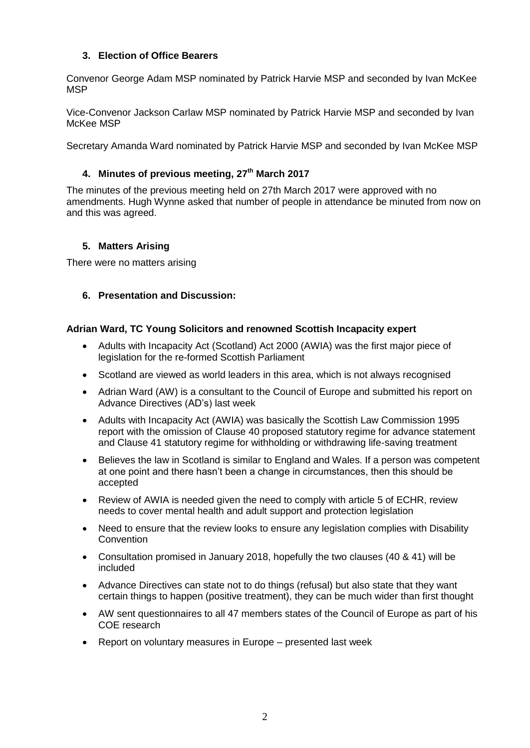## **3. Election of Office Bearers**

Convenor George Adam MSP nominated by Patrick Harvie MSP and seconded by Ivan McKee **MSP** 

Vice-Convenor Jackson Carlaw MSP nominated by Patrick Harvie MSP and seconded by Ivan McKee MSP

Secretary Amanda Ward nominated by Patrick Harvie MSP and seconded by Ivan McKee MSP

# **4. Minutes of previous meeting, 27th March 2017**

The minutes of the previous meeting held on 27th March 2017 were approved with no amendments. Hugh Wynne asked that number of people in attendance be minuted from now on and this was agreed.

## **5. Matters Arising**

There were no matters arising

### **6. Presentation and Discussion:**

#### **Adrian Ward, TC Young Solicitors and renowned Scottish Incapacity expert**

- Adults with Incapacity Act (Scotland) Act 2000 (AWIA) was the first major piece of legislation for the re-formed Scottish Parliament
- Scotland are viewed as world leaders in this area, which is not always recognised
- Adrian Ward (AW) is a consultant to the Council of Europe and submitted his report on Advance Directives (AD's) last week
- Adults with Incapacity Act (AWIA) was basically the Scottish Law Commission 1995 report with the omission of Clause 40 proposed statutory regime for advance statement and Clause 41 statutory regime for withholding or withdrawing life-saving treatment
- Believes the law in Scotland is similar to England and Wales. If a person was competent at one point and there hasn't been a change in circumstances, then this should be accepted
- Review of AWIA is needed given the need to comply with article 5 of ECHR, review needs to cover mental health and adult support and protection legislation
- Need to ensure that the review looks to ensure any legislation complies with Disability Convention
- Consultation promised in January 2018, hopefully the two clauses (40 & 41) will be included
- Advance Directives can state not to do things (refusal) but also state that they want certain things to happen (positive treatment), they can be much wider than first thought
- AW sent questionnaires to all 47 members states of the Council of Europe as part of his COE research
- Report on voluntary measures in Europe presented last week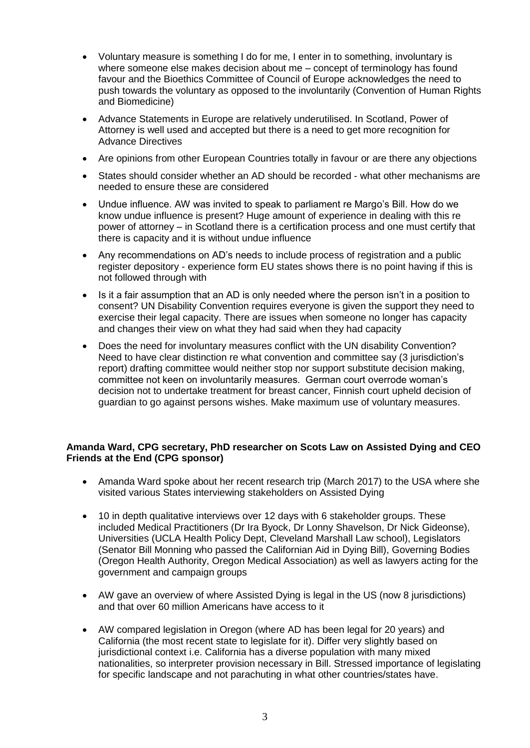- Voluntary measure is something I do for me, I enter in to something, involuntary is where someone else makes decision about me – concept of terminology has found favour and the Bioethics Committee of Council of Europe acknowledges the need to push towards the voluntary as opposed to the involuntarily (Convention of Human Rights and Biomedicine)
- Advance Statements in Europe are relatively underutilised. In Scotland, Power of Attorney is well used and accepted but there is a need to get more recognition for Advance Directives
- Are opinions from other European Countries totally in favour or are there any objections
- States should consider whether an AD should be recorded what other mechanisms are needed to ensure these are considered
- Undue influence. AW was invited to speak to parliament re Margo's Bill. How do we know undue influence is present? Huge amount of experience in dealing with this re power of attorney – in Scotland there is a certification process and one must certify that there is capacity and it is without undue influence
- Any recommendations on AD's needs to include process of registration and a public register depository - experience form EU states shows there is no point having if this is not followed through with
- Is it a fair assumption that an AD is only needed where the person isn't in a position to consent? UN Disability Convention requires everyone is given the support they need to exercise their legal capacity. There are issues when someone no longer has capacity and changes their view on what they had said when they had capacity
- Does the need for involuntary measures conflict with the UN disability Convention? Need to have clear distinction re what convention and committee say (3 jurisdiction's report) drafting committee would neither stop nor support substitute decision making, committee not keen on involuntarily measures. German court overrode woman's decision not to undertake treatment for breast cancer, Finnish court upheld decision of guardian to go against persons wishes. Make maximum use of voluntary measures.

### **Amanda Ward, CPG secretary, PhD researcher on Scots Law on Assisted Dying and CEO Friends at the End (CPG sponsor)**

- Amanda Ward spoke about her recent research trip (March 2017) to the USA where she visited various States interviewing stakeholders on Assisted Dying
- 10 in depth qualitative interviews over 12 days with 6 stakeholder groups. These included Medical Practitioners (Dr Ira Byock, Dr Lonny Shavelson, Dr Nick Gideonse), Universities (UCLA Health Policy Dept, Cleveland Marshall Law school), Legislators (Senator Bill Monning who passed the Californian Aid in Dying Bill), Governing Bodies (Oregon Health Authority, Oregon Medical Association) as well as lawyers acting for the government and campaign groups
- AW gave an overview of where Assisted Dying is legal in the US (now 8 jurisdictions) and that over 60 million Americans have access to it
- AW compared legislation in Oregon (where AD has been legal for 20 years) and California (the most recent state to legislate for it). Differ very slightly based on jurisdictional context i.e. California has a diverse population with many mixed nationalities, so interpreter provision necessary in Bill. Stressed importance of legislating for specific landscape and not parachuting in what other countries/states have.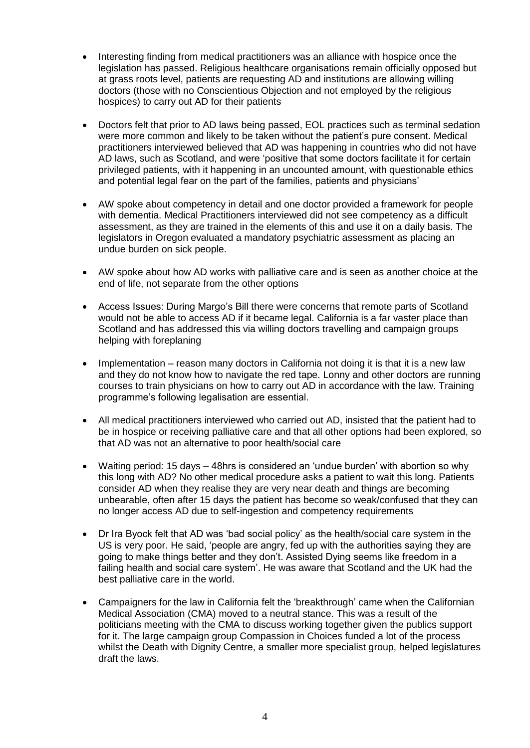- Interesting finding from medical practitioners was an alliance with hospice once the legislation has passed. Religious healthcare organisations remain officially opposed but at grass roots level, patients are requesting AD and institutions are allowing willing doctors (those with no Conscientious Objection and not employed by the religious hospices) to carry out AD for their patients
- Doctors felt that prior to AD laws being passed, EOL practices such as terminal sedation were more common and likely to be taken without the patient's pure consent. Medical practitioners interviewed believed that AD was happening in countries who did not have AD laws, such as Scotland, and were 'positive that some doctors facilitate it for certain privileged patients, with it happening in an uncounted amount, with questionable ethics and potential legal fear on the part of the families, patients and physicians'
- AW spoke about competency in detail and one doctor provided a framework for people with dementia. Medical Practitioners interviewed did not see competency as a difficult assessment, as they are trained in the elements of this and use it on a daily basis. The legislators in Oregon evaluated a mandatory psychiatric assessment as placing an undue burden on sick people.
- AW spoke about how AD works with palliative care and is seen as another choice at the end of life, not separate from the other options
- Access Issues: During Margo's Bill there were concerns that remote parts of Scotland would not be able to access AD if it became legal. California is a far vaster place than Scotland and has addressed this via willing doctors travelling and campaign groups helping with foreplaning
- Implementation reason many doctors in California not doing it is that it is a new law and they do not know how to navigate the red tape. Lonny and other doctors are running courses to train physicians on how to carry out AD in accordance with the law. Training programme's following legalisation are essential.
- All medical practitioners interviewed who carried out AD, insisted that the patient had to be in hospice or receiving palliative care and that all other options had been explored, so that AD was not an alternative to poor health/social care
- Waiting period: 15 days 48hrs is considered an 'undue burden' with abortion so why this long with AD? No other medical procedure asks a patient to wait this long. Patients consider AD when they realise they are very near death and things are becoming unbearable, often after 15 days the patient has become so weak/confused that they can no longer access AD due to self-ingestion and competency requirements
- Dr Ira Byock felt that AD was 'bad social policy' as the health/social care system in the US is very poor. He said, 'people are angry, fed up with the authorities saying they are going to make things better and they don't. Assisted Dying seems like freedom in a failing health and social care system'. He was aware that Scotland and the UK had the best palliative care in the world.
- Campaigners for the law in California felt the 'breakthrough' came when the Californian Medical Association (CMA) moved to a neutral stance. This was a result of the politicians meeting with the CMA to discuss working together given the publics support for it. The large campaign group Compassion in Choices funded a lot of the process whilst the Death with Dignity Centre, a smaller more specialist group, helped legislatures draft the laws.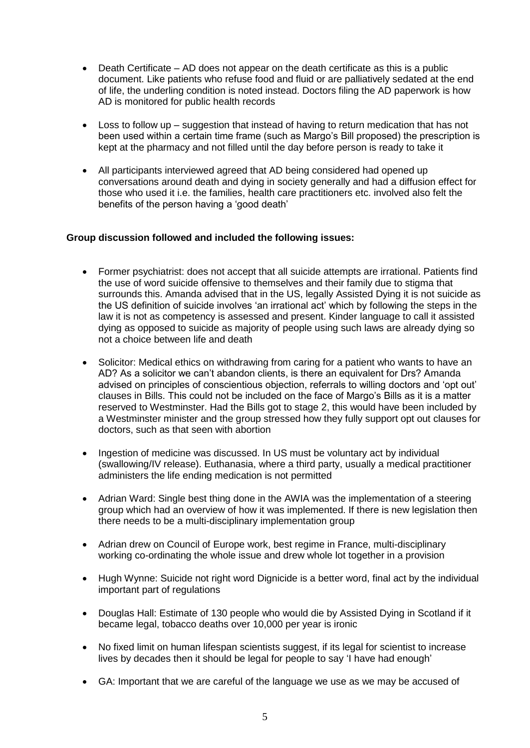- Death Certificate AD does not appear on the death certificate as this is a public document. Like patients who refuse food and fluid or are palliatively sedated at the end of life, the underling condition is noted instead. Doctors filing the AD paperwork is how AD is monitored for public health records
- Loss to follow up suggestion that instead of having to return medication that has not been used within a certain time frame (such as Margo's Bill proposed) the prescription is kept at the pharmacy and not filled until the day before person is ready to take it
- All participants interviewed agreed that AD being considered had opened up conversations around death and dying in society generally and had a diffusion effect for those who used it i.e. the families, health care practitioners etc. involved also felt the benefits of the person having a 'good death'

### **Group discussion followed and included the following issues:**

- Former psychiatrist: does not accept that all suicide attempts are irrational. Patients find the use of word suicide offensive to themselves and their family due to stigma that surrounds this. Amanda advised that in the US, legally Assisted Dying it is not suicide as the US definition of suicide involves 'an irrational act' which by following the steps in the law it is not as competency is assessed and present. Kinder language to call it assisted dying as opposed to suicide as majority of people using such laws are already dying so not a choice between life and death
- Solicitor: Medical ethics on withdrawing from caring for a patient who wants to have an AD? As a solicitor we can't abandon clients, is there an equivalent for Drs? Amanda advised on principles of conscientious objection, referrals to willing doctors and 'opt out' clauses in Bills. This could not be included on the face of Margo's Bills as it is a matter reserved to Westminster. Had the Bills got to stage 2, this would have been included by a Westminster minister and the group stressed how they fully support opt out clauses for doctors, such as that seen with abortion
- Ingestion of medicine was discussed. In US must be voluntary act by individual (swallowing/IV release). Euthanasia, where a third party, usually a medical practitioner administers the life ending medication is not permitted
- Adrian Ward: Single best thing done in the AWIA was the implementation of a steering group which had an overview of how it was implemented. If there is new legislation then there needs to be a multi-disciplinary implementation group
- Adrian drew on Council of Europe work, best regime in France, multi-disciplinary working co-ordinating the whole issue and drew whole lot together in a provision
- Hugh Wynne: Suicide not right word Dignicide is a better word, final act by the individual important part of regulations
- Douglas Hall: Estimate of 130 people who would die by Assisted Dying in Scotland if it became legal, tobacco deaths over 10,000 per year is ironic
- No fixed limit on human lifespan scientists suggest, if its legal for scientist to increase lives by decades then it should be legal for people to say 'I have had enough'
- GA: Important that we are careful of the language we use as we may be accused of